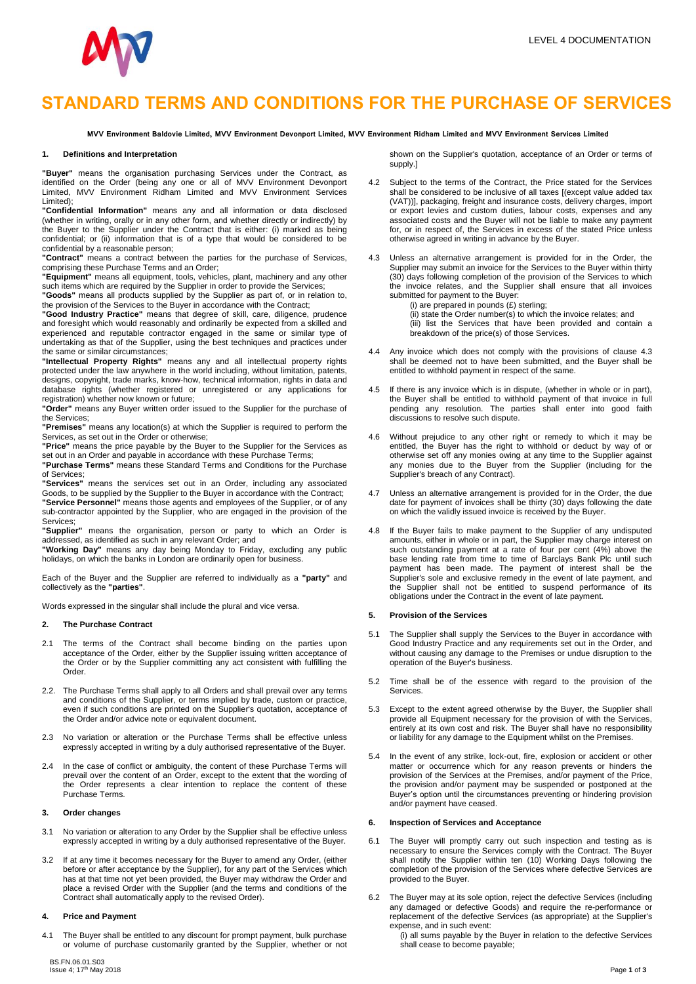

# **STANDARD TERMS AND CONDITIONS FOR THE PURCHASE OF SERVICES**

MVV Environment Baldovie Limited, MVV Environment Devonport Limited, MVV Environment Ridham Limited and MVV Environment Services Limited

#### **1. Definitions and Interpretation**

**"Buyer"** means the organisation purchasing Services under the Contract, as identified on the Order (being any one or all of MVV Environment Devonport Limited, MVV Environment Ridham Limited and MVV Environment Services Limited);

**"Confidential Information"** means any and all information or data disclosed (whether in writing, orally or in any other form, and whether directly or indirectly) by the Buyer to the Supplier under the Contract that is either: (i) marked as being confidential; or (ii) information that is of a type that would be considered to be confidential by a reasonable person;

**"Contract"** means a contract between the parties for the purchase of Services, comprising these Purchase Terms and an Order;

**"Equipment"** means all equipment, tools, vehicles, plant, machinery and any other such items which are required by the Supplier in order to provide the Services;

**"Goods"** means all products supplied by the Supplier as part of, or in relation to, the provision of the Services to the Buyer in accordance with the Contract;

**"Good Industry Practice"** means that degree of skill, care, diligence, prudence and foresight which would reasonably and ordinarily be expected from a skilled and experienced and reputable contractor engaged in the same or similar type of undertaking as that of the Supplier, using the best techniques and practices under the same or similar circumstances;

**"Intellectual Property Rights"** means any and all intellectual property rights protected under the law anywhere in the world including, without limitation, patents, designs, copyright, trade marks, know-how, technical information, rights in data and database rights (whether registered or unregistered or any applications for registration) whether now known or future;

**"Order"** means any Buyer written order issued to the Supplier for the purchase of the Services;

**"Premises"** means any location(s) at which the Supplier is required to perform the Services, as set out in the Order or otherwise;

**"Price"** means the price payable by the Buyer to the Supplier for the Services as set out in an Order and payable in accordance with these Purchase Terms;

**"Purchase Terms"** means these Standard Terms and Conditions for the Purchase of Services;

**"Services"** means the services set out in an Order, including any associated Goods, to be supplied by the Supplier to the Buyer in accordance with the Contract; **"Service Personnel"** means those agents and employees of the Supplier, or of any sub-contractor appointed by the Supplier, who are engaged in the provision of the Services;

**"Supplier"** means the organisation, person or party to which an Order is addressed, as identified as such in any relevant Order; and

**"Working Day"** means any day being Monday to Friday, excluding any public holidays, on which the banks in London are ordinarily open for business.

Each of the Buyer and the Supplier are referred to individually as a **"party"** and collectively as the **"parties"**.

Words expressed in the singular shall include the plural and vice versa.

### **2. The Purchase Contract**

- 2.1 The terms of the Contract shall become binding on the parties upon acceptance of the Order, either by the Supplier issuing written acceptance of the Order or by the Supplier committing any act consistent with fulfilling the Order.
- 2.2. The Purchase Terms shall apply to all Orders and shall prevail over any terms and conditions of the Supplier, or terms implied by trade, custom or practice, even if such conditions are printed on the Supplier's quotation, acceptance of the Order and/or advice note or equivalent document.
- 2.3 No variation or alteration or the Purchase Terms shall be effective unless expressly accepted in writing by a duly authorised representative of the Buyer.
- 2.4 In the case of conflict or ambiguity, the content of these Purchase Terms will prevail over the content of an Order, except to the extent that the wording of the Order represents a clear intention to replace the content of these Purchase Terms.

## **3. Order changes**

- 3.1 No variation or alteration to any Order by the Supplier shall be effective unless expressly accepted in writing by a duly authorised representative of the Buyer.
- 3.2 If at any time it becomes necessary for the Buyer to amend any Order, (either before or after acceptance by the Supplier), for any part of the Services which has at that time not yet been provided, the Buyer may withdraw the Order and place a revised Order with the Supplier (and the terms and conditions of the Contract shall automatically apply to the revised Order).

# **4. Price and Payment**

4.1 The Buyer shall be entitled to any discount for prompt payment, bulk purchase or volume of purchase customarily granted by the Supplier, whether or not shown on the Supplier's quotation, acceptance of an Order or terms of supply.]

- 4.2 Subject to the terms of the Contract, the Price stated for the Services shall be considered to be inclusive of all taxes [(except value added tax (VAT))], packaging, freight and insurance costs, delivery charges, import or export levies and custom duties, labour costs, expenses and any associated costs and the Buyer will not be liable to make any payment for, or in respect of, the Services in excess of the stated Price unless otherwise agreed in writing in advance by the Buyer.
- 4.3 Unless an alternative arrangement is provided for in the Order, the Supplier may submit an invoice for the Services to the Buyer within thirty (30) days following completion of the provision of the Services to which the invoice relates, and the Supplier shall ensure that all invoices submitted for payment to the Buyer:

(i) are prepared in pounds  $(E)$  sterling; (ii) state the Order number(s) to which the invoice relates; and (iii) list the Services that have been provided and contain a breakdown of the price(s) of those Services.

- 4.4 Any invoice which does not comply with the provisions of clause 4.3 shall be deemed not to have been submitted, and the Buyer shall be entitled to withhold payment in respect of the same.
- 4.5 If there is any invoice which is in dispute, (whether in whole or in part), the Buyer shall be entitled to withhold payment of that invoice in full pending any resolution. The parties shall enter into good faith discussions to resolve such dispute.
- 4.6 Without prejudice to any other right or remedy to which it may be entitled, the Buyer has the right to withhold or deduct by way of or otherwise set off any monies owing at any time to the Supplier against any monies due to the Buyer from the Supplier (including for the Supplier's breach of any Contract).
- 4.7 Unless an alternative arrangement is provided for in the Order, the due date for payment of invoices shall be thirty (30) days following the date on which the validly issued invoice is received by the Buyer.
- 4.8 If the Buyer fails to make payment to the Supplier of any undisputed amounts, either in whole or in part, the Supplier may charge interest on such outstanding payment at a rate of four per cent (4%) above the base lending rate from time to time of Barclays Bank Plc until such payment has been made. The payment of interest shall be the Supplier's sole and exclusive remedy in the event of late payment, and the Supplier shall not be entitled to suspend performance of its obligations under the Contract in the event of late payment.

#### **5. Provision of the Services**

- 5.1 The Supplier shall supply the Services to the Buyer in accordance with Good Industry Practice and any requirements set out in the Order, and without causing any damage to the Premises or undue disruption to the operation of the Buyer's business.
- 5.2 Time shall be of the essence with regard to the provision of the Services.
- 5.3 Except to the extent agreed otherwise by the Buyer, the Supplier shall provide all Equipment necessary for the provision of with the Services, entirely at its own cost and risk. The Buyer shall have no responsibility or liability for any damage to the Equipment whilst on the Premises.
- 5.4 In the event of any strike, lock-out, fire, explosion or accident or other matter or occurrence which for any reason prevents or hinders the provision of the Services at the Premises, and/or payment of the Price, the provision and/or payment may be suspended or postponed at the Buyer's option until the circumstances preventing or hindering provision and/or payment have ceased.

### **6. Inspection of Services and Acceptance**

- 6.1 The Buyer will promptly carry out such inspection and testing as is necessary to ensure the Services comply with the Contract. The Buyer shall notify the Supplier within ten (10) Working Days following the completion of the provision of the Services where defective Services are provided to the Buyer.
- 6.2 The Buyer may at its sole option, reject the defective Services (including any damaged or defective Goods) and require the re-performance or replacement of the defective Services (as appropriate) at the Supplier's expense, and in such event:
	- (i) all sums payable by the Buyer in relation to the defective Services shall cease to become payable;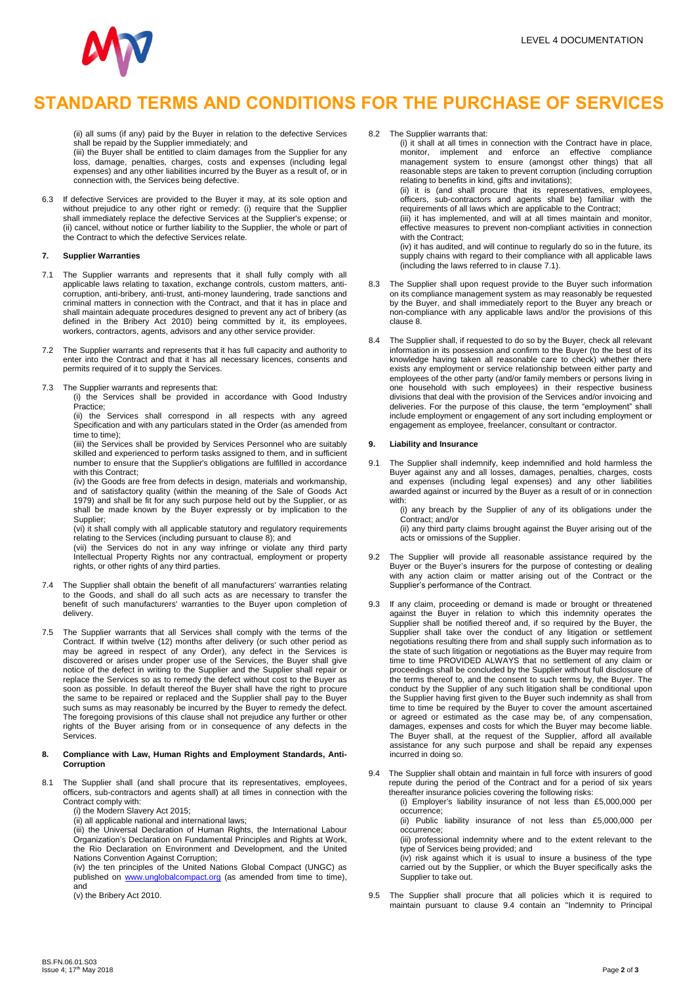

# **STANDARD TERMS AND CONDITIONS FOR THE PURCHASE OF SERVICES**

(ii) all sums (if any) paid by the Buyer in relation to the defective Services shall be repaid by the Supplier immediately; and

(iii) the Buyer shall be entitled to claim damages from the Supplier for any loss, damage, penalties, charges, costs and expenses (including legal expenses) and any other liabilities incurred by the Buyer as a result of, or in connection with, the Services being defective.

6.3 If defective Services are provided to the Buyer it may, at its sole option and without prejudice to any other right or remedy: (i) require that the Supplier shall immediately replace the defective Services at the Supplier's expense; or (ii) cancel, without notice or further liability to the Supplier, the whole or part of the Contract to which the defective Services relate.

## **7. Supplier Warranties**

- 7.1 The Supplier warrants and represents that it shall fully comply with all applicable laws relating to taxation, exchange controls, custom matters, anticorruption, anti-bribery, anti-trust, anti-money laundering, trade sanctions and criminal matters in connection with the Contract, and that it has in place and shall maintain adequate procedures designed to prevent any act of bribery (as defined in the Bribery Act 2010) being committed by it, its employees, workers, contractors, agents, advisors and any other service provider.
- 7.2 The Supplier warrants and represents that it has full capacity and authority to enter into the Contract and that it has all necessary licences, consents and permits required of it to supply the Services.
- 7.3 The Supplier warrants and represents that:

(i) the Services shall be provided in accordance with Good Industry Practice;

(ii) the Services shall correspond in all respects with any agreed Specification and with any particulars stated in the Order (as amended from time to time);

(iii) the Services shall be provided by Services Personnel who are suitably skilled and experienced to perform tasks assigned to them, and in sufficient number to ensure that the Supplier's obligations are fulfilled in accordance with this Contract;

(iv) the Goods are free from defects in design, materials and workmanship, and of satisfactory quality (within the meaning of the Sale of Goods Act 1979) and shall be fit for any such purpose held out by the Supplier, or as shall be made known by the Buyer expressly or by implication to the Supplier;

(vi) it shall comply with all applicable statutory and regulatory requirements relating to the Services (including pursuant to clause 8); and

(vii) the Services do not in any way infringe or violate any third party Intellectual Property Rights nor any contractual, employment or property rights, or other rights of any third parties.

- 7.4 The Supplier shall obtain the benefit of all manufacturers' warranties relating to the Goods, and shall do all such acts as are necessary to transfer the benefit of such manufacturers' warranties to the Buyer upon completion of delivery.
- 7.5 The Supplier warrants that all Services shall comply with the terms of the Contract. If within twelve (12) months after delivery (or such other period as may be agreed in respect of any Order), any defect in the Services is discovered or arises under proper use of the Services, the Buyer shall give notice of the defect in writing to the Supplier and the Supplier shall repair or replace the Services so as to remedy the defect without cost to the Buyer as soon as possible. In default thereof the Buyer shall have the right to procure the same to be repaired or replaced and the Supplier shall pay to the Buyer such sums as may reasonably be incurred by the Buyer to remedy the defect. The foregoing provisions of this clause shall not prejudice any further or other rights of the Buyer arising from or in consequence of any defects in the Services.

#### **8. Compliance with Law, Human Rights and Employment Standards, Anti-Corruption**

- 8.1 The Supplier shall (and shall procure that its representatives, employees, officers, sub-contractors and agents shall) at all times in connection with the Contract comply with:
	- (i) the Modern Slavery Act 2015; (ii) all applicable national and international laws;

(iii) the Universal Declaration of Human Rights, the International Labour Organization's Declaration on Fundamental Principles and Rights at Work, the Rio Declaration on Environment and Development, and the United Nations Convention Against Corruption;

(iv) the ten principles of the United Nations Global Compact (UNGC) as published on [www.unglobalcompact.org](http://www.unglobalcompact.org/) (as amended from time to time), and

(v) the Bribery Act 2010.

8.2 The Supplier warrants that:

(i) it shall at all times in connection with the Contract have in place, monitor, implement and enforce an effective compliance management system to ensure (amongst other things) that all reasonable steps are taken to prevent corruption (including corruption relating to benefits in kind, gifts and invitations); (ii) it is (and shall procure that its representatives, employees,

officers, sub-contractors and agents shall be) familiar with the requirements of all laws which are applicable to the Contract;

(iii) it has implemented, and will at all times maintain and monitor effective measures to prevent non-compliant activities in connection with the Contract:

(iv) it has audited, and will continue to regularly do so in the future, its supply chains with regard to their compliance with all applicable laws (including the laws referred to in clause 7.1).

- 8.3 The Supplier shall upon request provide to the Buyer such information on its compliance management system as may reasonably be requested by the Buyer, and shall immediately report to the Buyer any breach or non-compliance with any applicable laws and/or the provisions of this clause 8.
- The Supplier shall, if requested to do so by the Buyer, check all relevant information in its possession and confirm to the Buyer (to the best of its knowledge having taken all reasonable care to check) whether there exists any employment or service relationship between either party and employees of the other party (and/or family members or persons living in one household with such employees) in their respective business divisions that deal with the provision of the Services and/or invoicing and deliveries. For the purpose of this clause, the term "employment" include employment or engagement of any sort including employment or engagement as employee, freelancer, consultant or contractor.

## **9. Liability and Insurance**

9.1 The Supplier shall indemnify, keep indemnified and hold harmless the Buyer against any and all losses, damages, penalties, charges, costs and expenses (including legal expenses) and any other liabilities awarded against or incurred by the Buyer as a result of or in connection with:

(i) any breach by the Supplier of any of its obligations under the Contract; and/or

(ii) any third party claims brought against the Buyer arising out of the acts or omissions of the Supplier.

- 9.2 The Supplier will provide all reasonable assistance required by the Buyer or the Buyer's insurers for the purpose of contesting or dealing with any action claim or matter arising out of the Contract or the Supplier's performance of the Contract.
- 9.3 If any claim, proceeding or demand is made or brought or threatened against the Buyer in relation to which this indemnity operates the Supplier shall be notified thereof and, if so required by the Buyer, the Supplier shall take over the conduct of any litigation or settlement negotiations resulting there from and shall supply such information as to the state of such litigation or negotiations as the Buyer may require from time to time PROVIDED ALWAYS that no settlement of any claim or proceedings shall be concluded by the Supplier without full disclosure of the terms thereof to, and the consent to such terms by, the Buyer. The conduct by the Supplier of any such litigation shall be conditional upon the Supplier having first given to the Buyer such indemnity as shall from time to time be required by the Buyer to cover the amount ascertained or agreed or estimated as the case may be, of any compensation, damages, expenses and costs for which the Buyer may become liable. The Buyer shall, at the request of the Supplier, afford all available assistance for any such purpose and shall be repaid any expenses incurred in doing so.
- 9.4 The Supplier shall obtain and maintain in full force with insurers of good repute during the period of the Contract and for a period of six years thereafter insurance policies covering the following risks:

(i) Employer's liability insurance of not less than £5,000,000 per occurrence;

(ii) Public liability insurance of not less than £5,000,000 per occurrence;

(iii) professional indemnity where and to the extent relevant to the type of Services being provided; and

(iv) risk against which it is usual to insure a business of the type carried out by the Supplier, or which the Buyer specifically asks the Supplier to take out.

9.5 The Supplier shall procure that all policies which it is required to maintain pursuant to clause 9.4 contain an "Indemnity to Principal